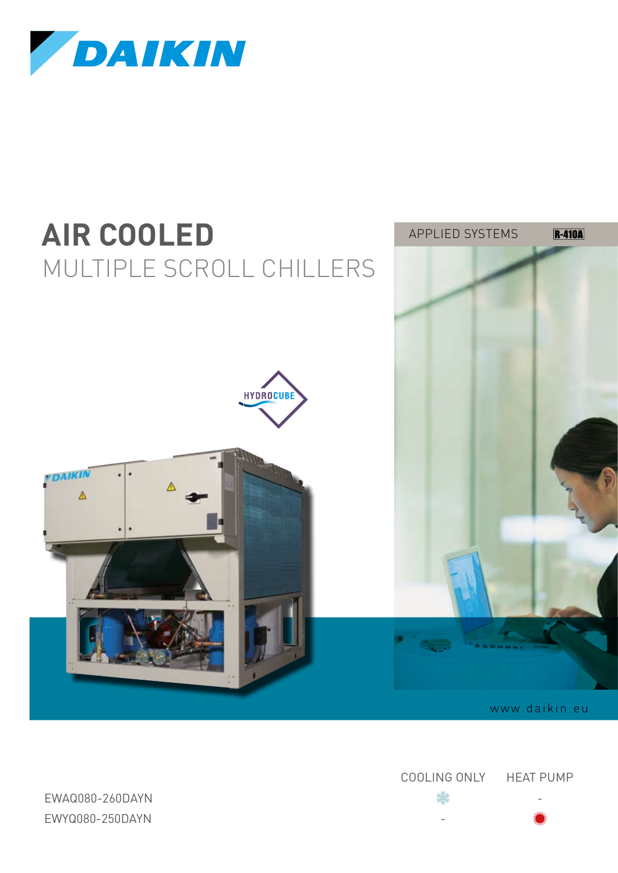



Cooling Only Heat pump

ewaq080-260DAYN たいこうしょう かいしょう かいしょう かいしょう にっぽん いちのう いちのう いちのう いちのう はんしょう かいしょう EWYQ080-250DAYN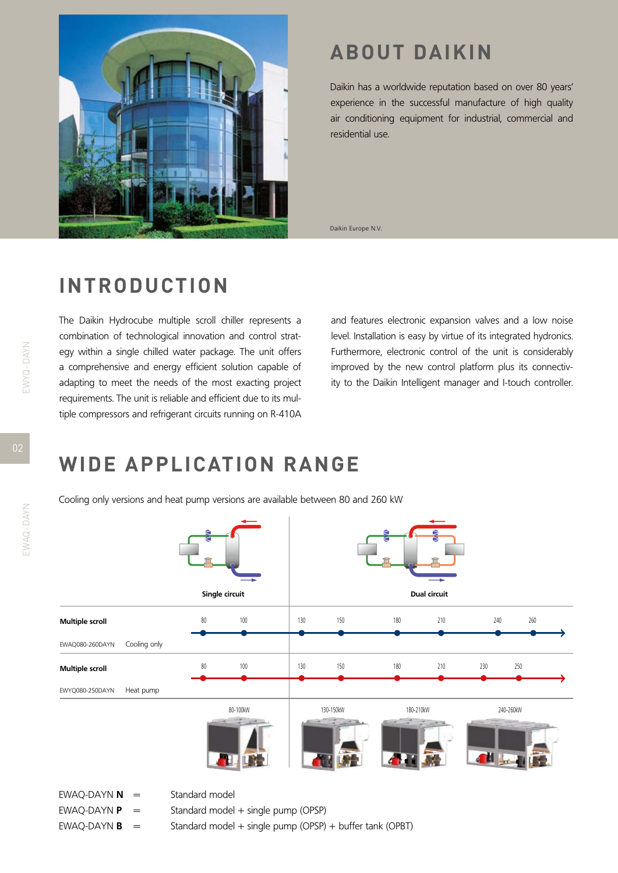

## **ABOUT DAIKIN**

Daikin has a worldwide reputation based on over 80 years' experience in the successful manufacture of high quality air conditioning equipment for industrial, commercial and residential use.

Daikin Europe N.V.

### **INTRODUCTION**

The Daikin Hydrocube multiple scroll chiller represents a combination of technological innovation and control strategy within a single chilled water package. The unit offers a comprehensive and energy efficient solution capable of adapting to meet the needs of the most exacting project requirements. The unit is reliable and efficient due to its multiple compressors and refrigerant circuits running on R-410A and features electronic expansion valves and a low noise level. Installation is easy by virtue of its integrated hydronics. Furthermore, electronic control of the unit is considerably improved by the new control platform plus its connectivity to the Daikin Intelligent manager and I-touch controller.

## **WIDE APPLICATION RANGE**

Cooling only versions and heat pump versions are available between 80 and 260 kW



EWAQ-DAYN  $N =$  Standard model

- EWAQ-DAYN  $P =$  Standard model + single pump (OPSP)
- 
- 
- EWAQ-DAYN  $\mathbf{B}$  = Standard model + single pump (OPSP) + buffer tank (OPBT)

EWAQ-DAYN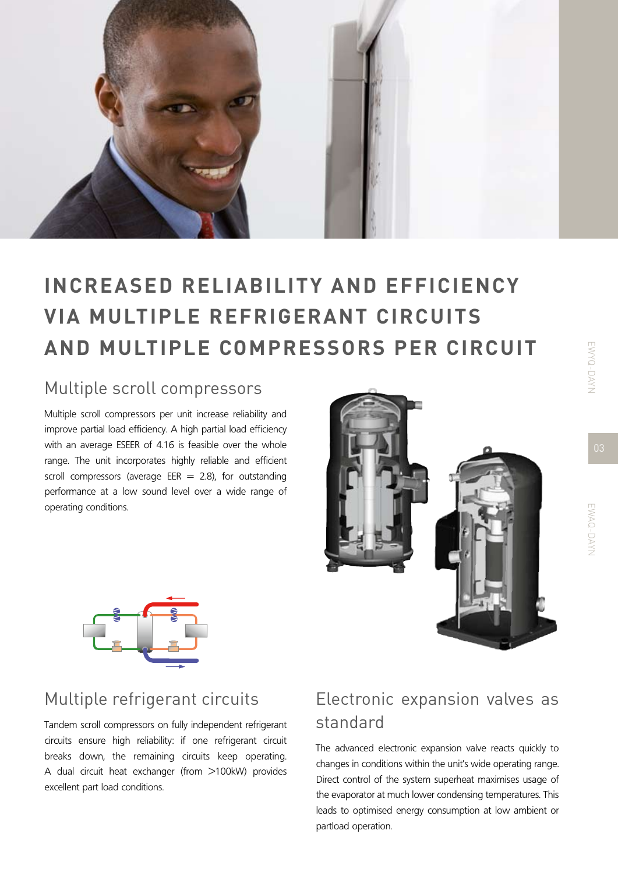

# **Increased reliability and efficiency via multiple refrigerant circuits and multiple compressors per circuit**

#### Multiple scroll compressors

Multiple scroll compressors per unit increase reliability and improve partial load efficiency. A high partial load efficiency with an average ESEER of 4.16 is feasible over the whole range. The unit incorporates highly reliable and efficient scroll compressors (average EER  $= 2.8$ ), for outstanding performance at a low sound level over a wide range of operating conditions.





#### Multiple refrigerant circuits

Tandem scroll compressors on fully independent refrigerant circuits ensure high reliability: if one refrigerant circuit breaks down, the remaining circuits keep operating. A dual circuit heat exchanger (from >100kW) provides excellent part load conditions.

### Electronic expansion valves as standard

The advanced electronic expansion valve reacts quickly to changes in conditions within the unit's wide operating range. Direct control of the system superheat maximises usage of the evaporator at much lower condensing temperatures. This leads to optimised energy consumption at low ambient or partload operation.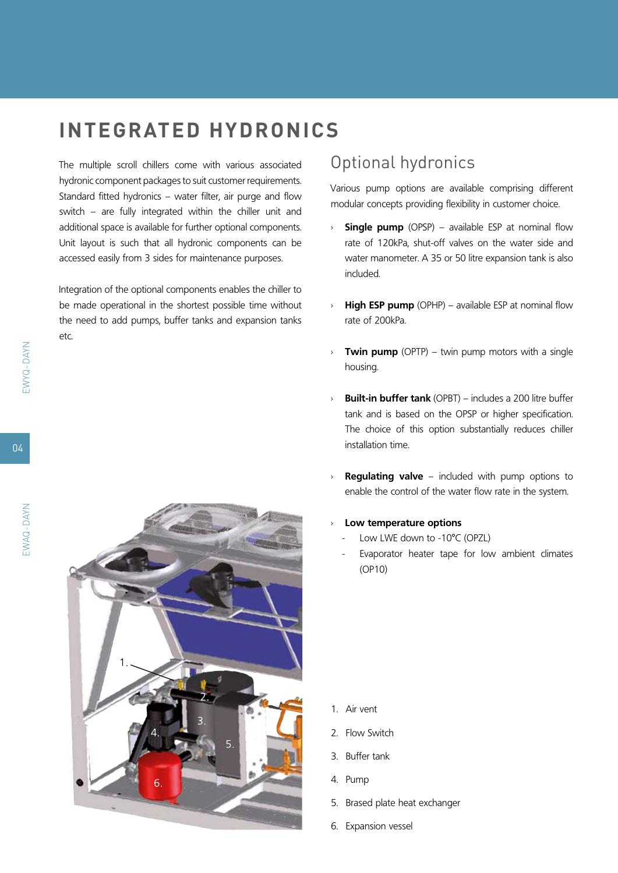## **integrated hydronics**

The multiple scroll chillers come with various associated hydronic component packages to suit customer requirements. Standard fitted hydronics – water filter, air purge and flow switch – are fully integrated within the chiller unit and additional space is available for further optional components. Unit layout is such that all hydronic components can be accessed easily from 3 sides for maintenance purposes.

Integration of the optional components enables the chiller to be made operational in the shortest possible time without the need to add pumps, buffer tanks and expansion tanks etc.

#### Optional hydronics

Various pump options are available comprising different modular concepts providing flexibility in customer choice.

- › **Single pump** (OPSP) available ESP at nominal flow rate of 120kPa, shut-off valves on the water side and water manometer. A 35 or 50 litre expansion tank is also included.
- › **High ESP pump** (OPHP) available ESP at nominal flow rate of 200kPa.
- **Twin pump** (OPTP) twin pump motors with a single housing.
- **Built-in buffer tank** (OPBT) includes a 200 litre buffer tank and is based on the OPSP or higher specification. The choice of this option substantially reduces chiller installation time.
- **Regulating valve** included with pump options to enable the control of the water flow rate in the system.
- Low temperature options
	- Low LWE down to -10°C (OPZL)
	- Evaporator heater tape for low ambient climates (OP10)

1. Air vent

- 2. Flow Switch
- 3. Buffer tank
- 4. Pump
- 5. Brased plate heat exchanger
- 6. Expansion vessel

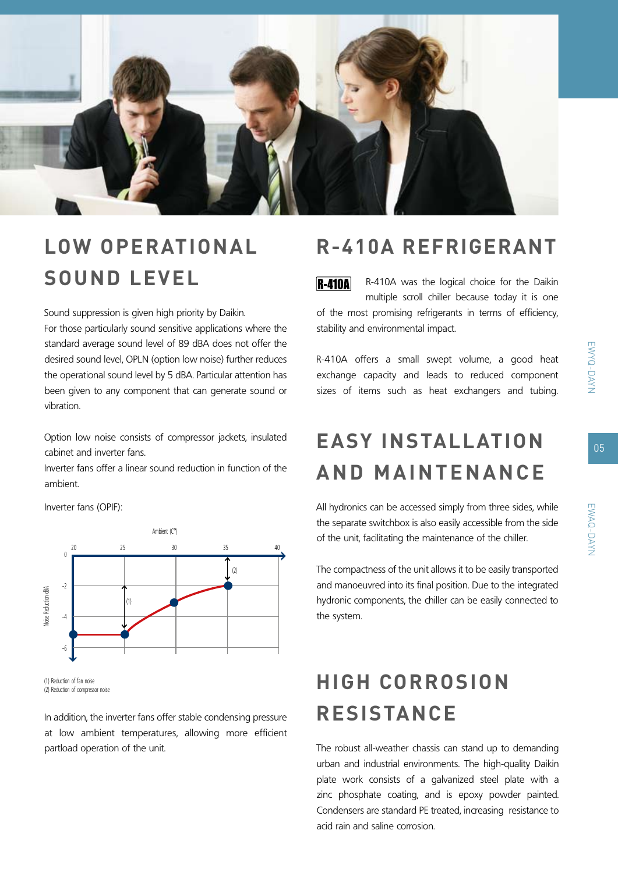

# **low OPERATIONAL SOUND level**

Sound suppression is given high priority by Daikin.

For those particularly sound sensitive applications where the standard average sound level of 89 dBA does not offer the desired sound level, OPLN (option low noise) further reduces the operational sound level by 5 dBA. Particular attention has been given to any component that can generate sound or vibration.

Option low noise consists of compressor jackets, insulated cabinet and inverter fans.

Inverter fans offer a linear sound reduction in function of the ambient.

Inverter fans (OPIF):



<sup>(1)</sup> Reduction of fan noise (2) Reduction of compressor noise

In addition, the inverter fans offer stable condensing pressure at low ambient temperatures, allowing more efficient partload operation of the unit.

### **R-410A refrigerant**

R-410A was the logical choice for the Daikin  $R-410A$ multiple scroll chiller because today it is one of the most promising refrigerants in terms of efficiency, stability and environmental impact.

R-410A offers a small swept volume, a good heat exchange capacity and leads to reduced component sizes of items such as heat exchangers and tubing.

## **easy installation and maintenance**

All hydronics can be accessed simply from three sides, while the separate switchbox is also easily accessible from the side of the unit, facilitating the maintenance of the chiller.

The compactness of the unit allows it to be easily transported and manoeuvred into its final position. Due to the integrated hydronic components, the chiller can be easily connected to the system.

# **High corrosion resistance**

The robust all-weather chassis can stand up to demanding urban and industrial environments. The high-quality Daikin plate work consists of a galvanized steel plate with a zinc phosphate coating, and is epoxy powder painted. Condensers are standard PE treated, increasing resistance to acid rain and saline corrosion.

05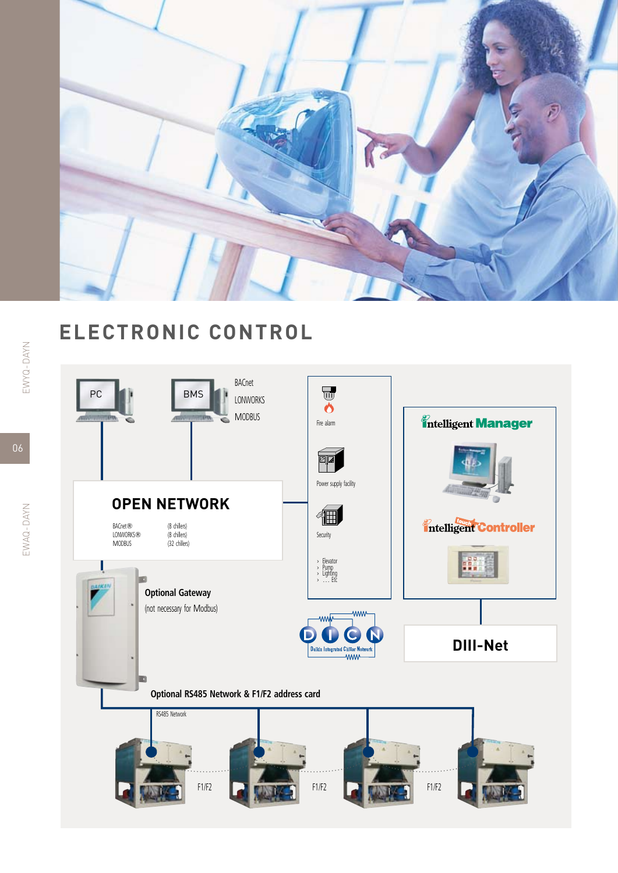

## **Electronic control**

EWYQ-DAYN

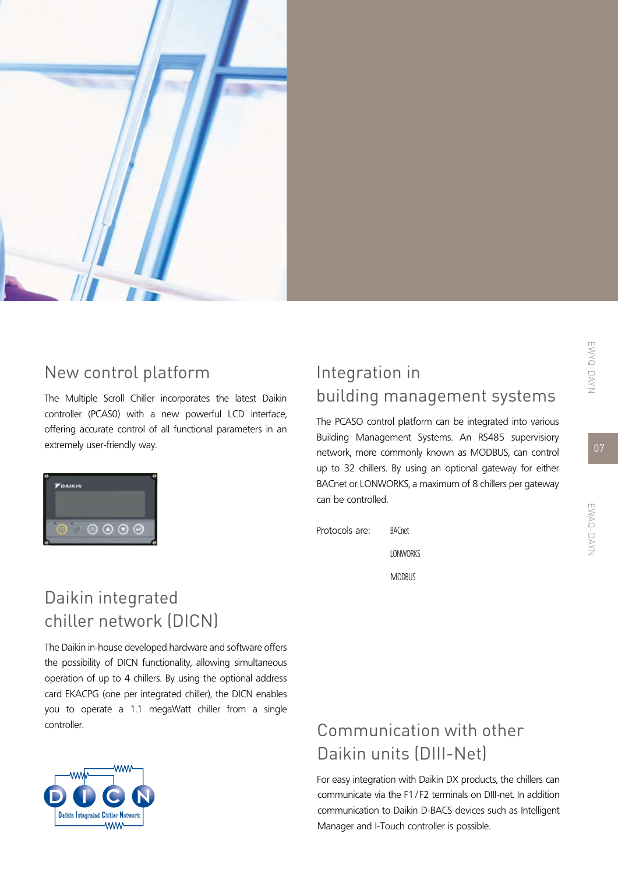

### New control platform

The Multiple Scroll Chiller incorporates the latest Daikin controller (PCAS0) with a new powerful LCD interface, offering accurate control of all functional parameters in an extremely user-friendly way.



## Integration in building management systems

The PCASO control platform can be integrated into various Building Management Systems. An RS485 supervisiory network, more commonly known as MODBUS, can control up to 32 chillers. By using an optional gateway for either BACnet or LONWORKS, a maximum of 8 chillers per gateway can be controlled.



### Daikin integrated chiller network (DICN)

The Daikin in-house developed hardware and software offers the possibility of DICN functionality, allowing simultaneous operation of up to 4 chillers. By using the optional address card EKACPG (one per integrated chiller), the DICN enables you to operate a 1.1 megaWatt chiller from a single controller.



## Communication with other Daikin units (DIII-Net)

For easy integration with Daikin DX products, the chillers can communicate via the F1/ F2 terminals on DIII-net. In addition communication to Daikin D-BACS devices such as Intelligent Manager and I-Touch controller is possible.

07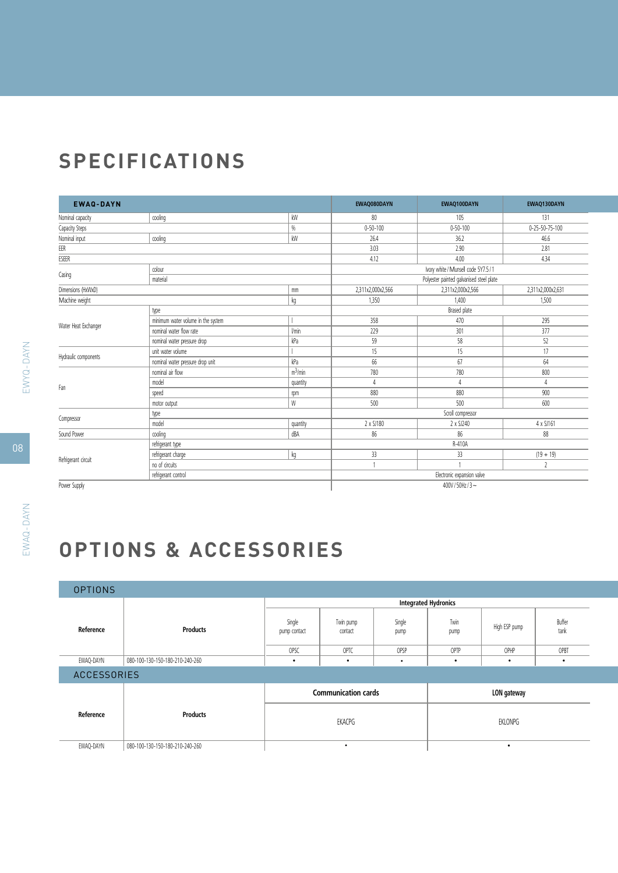## **Specifications**

| <b>EWAQ-DAYN</b>     |                                    |                     | EWAQ080DAYN       | EWAQ100DAYN                              | EWAQ130DAYN       |  |  |
|----------------------|------------------------------------|---------------------|-------------------|------------------------------------------|-------------------|--|--|
| Nominal capacity     | cooling                            | kW                  | 80                | 105                                      | 131               |  |  |
| Capacity Steps       |                                    | $\%$                | $0 - 50 - 100$    | $0 - 50 - 100$                           | 0-25-50-75-100    |  |  |
| Nominal input        | coolina                            | kW                  | 26.4              | 36.2                                     | 46.6              |  |  |
| EER                  |                                    |                     | 3.03              | 2.90                                     | 2.81              |  |  |
| ESEER                |                                    |                     | 4.12              | 4.00                                     | 4.34              |  |  |
| colour               |                                    |                     |                   | Ivory white / Munsell code 5Y7.5 / 1     |                   |  |  |
| Casing               | material                           |                     |                   | Polyester painted galvanised steel plate |                   |  |  |
| Dimensions (HxWxD)   |                                    | mm                  | 2,311x2,000x2,566 | 2,311x2,000x2,566                        | 2,311x2,000x2,631 |  |  |
| Machine weight       |                                    | kg                  | 1,350             | 1,400                                    | 1,500             |  |  |
|                      | type                               |                     |                   | Brased plate                             |                   |  |  |
|                      | minimum water volume in the system |                     | 358               | 470                                      | 295               |  |  |
| Water Heat Exchanger | nominal water flow rate            | l/min               | 229               | 301                                      | 377               |  |  |
|                      | nominal water pressure drop        | kPa                 | 59                | 58                                       | 52                |  |  |
|                      | unit water volume                  |                     | 15                | 15                                       | 17                |  |  |
| Hydraulic components | nominal water pressure drop unit   | kPa                 | 66                | 67                                       | 64                |  |  |
|                      | nominal air flow                   | m <sup>3</sup> /min | 780               | 780                                      | 800               |  |  |
| Fan                  | model                              | quantity            | 4                 | 4                                        | 4                 |  |  |
|                      | speed                              | rpm                 | 880               | 880                                      | 900               |  |  |
|                      | motor output                       | W                   | 500               | 500                                      | 600               |  |  |
|                      | type                               |                     | Scroll compressor |                                          |                   |  |  |
| Compressor           | model                              | quantity            | 2 x SJ180         | 2 x SJ240                                | 4 x SJ161         |  |  |
| Sound Power          | cooling                            | dBA                 | 86                | 86                                       | 88                |  |  |
|                      | refrigerant type                   |                     |                   | R-410A                                   |                   |  |  |
|                      | refrigerant charge                 | kg                  | 33                | 33                                       | $(19 + 19)$       |  |  |
| Refrigerant circuit  | no of circuits                     |                     | $\overline{1}$    |                                          | $\overline{2}$    |  |  |
|                      | refrigerant control                |                     |                   | Electronic expansion valve               |                   |  |  |
| Power Supply         |                                    |                     |                   | 400V/50Hz/3 $\sim$                       |                   |  |  |

**options & accessories**

| <b>OPTIONS</b>     |                                 |                            |                      |                             |              |               |                |
|--------------------|---------------------------------|----------------------------|----------------------|-----------------------------|--------------|---------------|----------------|
|                    |                                 |                            |                      | <b>Integrated Hydronics</b> |              |               |                |
| Reference          | <b>Products</b>                 | Single<br>pump contact     | Twin pump<br>contact | Single<br>pump              | Twin<br>pump | High ESP pump | Buffer<br>tank |
|                    |                                 | OPSC                       | OPTC                 | OPSP                        | OPTP         | OPHP          | OPBT           |
| EWAQ-DAYN          | 080-100-130-150-180-210-240-260 | $\bullet$                  | $\bullet$            | $\bullet$                   | $\bullet$    | $\bullet$     | $\bullet$      |
| <b>ACCESSORIES</b> |                                 |                            |                      |                             |              |               |                |
|                    |                                 | <b>Communication cards</b> |                      |                             | LON gateway  |               |                |
| Reference          | <b>Products</b>                 | EKACPG                     |                      |                             | EKLONPG      |               |                |
| EWAQ-DAYN          | 080-100-130-150-180-210-240-260 | ٠                          |                      |                             |              | $\bullet$     |                |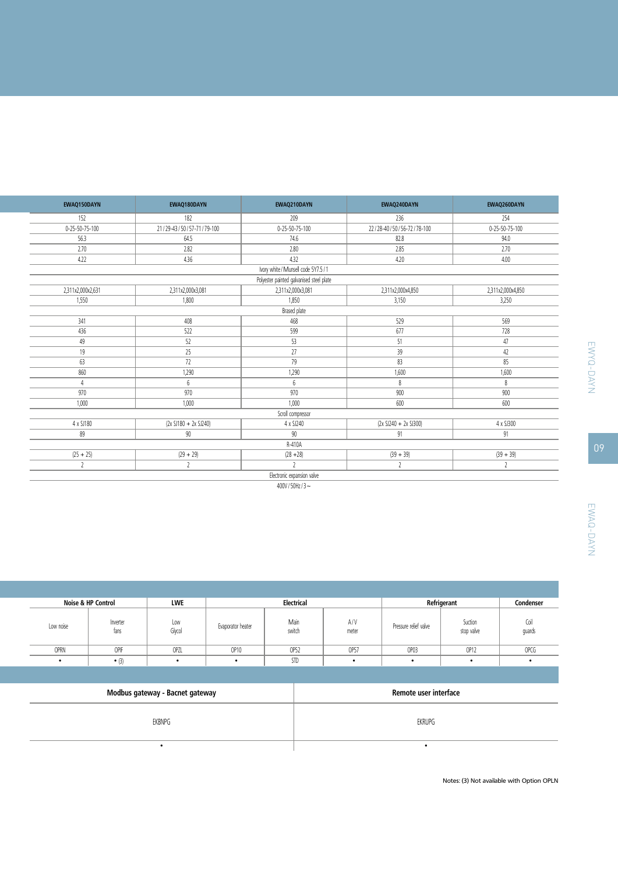| EWAQ150DAYN              | EWAQ180DAYN                | EWAQ210DAYN                              | EWAQ240DAYN              | EWAQ260DAYN       |  |  |  |  |
|--------------------------|----------------------------|------------------------------------------|--------------------------|-------------------|--|--|--|--|
| 152                      | 182                        | 209                                      | 236                      | 254               |  |  |  |  |
| $0 - 25 - 50 - 75 - 100$ | 21/29-43/50/57-71/79-100   | 0-25-50-75-100                           | 22/28-40/50/56-72/78-100 | 0-25-50-75-100    |  |  |  |  |
| 56.3                     | 64.5                       | 74.6                                     | 82.8                     | 94.0              |  |  |  |  |
| 2.70                     | 2.82                       | 2.80                                     | 2.85                     | 2.70              |  |  |  |  |
| 4.22                     | 4.36                       | 4.32                                     | 4.20                     | 4.00              |  |  |  |  |
|                          |                            | Ivory white / Munsell code 5Y7.5 / 1     |                          |                   |  |  |  |  |
|                          |                            | Polyester painted galvanised steel plate |                          |                   |  |  |  |  |
| 2,311x2,000x2,631        | 2,311x2,000x3,081          | 2,311x2,000x3,081                        | 2,311x2,000x4,850        | 2,311x2,000x4,850 |  |  |  |  |
| 1,550                    | 1,800                      | 1,850                                    | 3,150                    | 3,250             |  |  |  |  |
|                          | Brased plate               |                                          |                          |                   |  |  |  |  |
| 341                      | 408                        | 468                                      | 529                      | 569               |  |  |  |  |
| 436                      | 522                        | 599                                      | 677                      | 728               |  |  |  |  |
| 49                       | 52                         | 53                                       | 51                       | 47                |  |  |  |  |
| 19                       | 25                         | 27                                       | 39                       | 42                |  |  |  |  |
| 63                       | 72                         | 79                                       | 83                       | 85                |  |  |  |  |
| 860                      | 1,290                      | 1,290                                    | 1,600                    | 1,600             |  |  |  |  |
| 4                        | 6                          | 6                                        | 8                        | 8                 |  |  |  |  |
| 970                      | 970                        | 970                                      | 900                      | 900               |  |  |  |  |
| 1,000                    | 1,000                      | 1,000                                    | 600                      | 600               |  |  |  |  |
|                          |                            | Scroll compressor                        |                          |                   |  |  |  |  |
| 4 x SJ180                | $(2x S1180 + 2x S1240)$    | 4 x SJ240                                | $(2x SJ240 + 2x SJ300)$  | 4 x SJ300         |  |  |  |  |
| 89                       | $90\,$                     | 90                                       | 91                       | 91                |  |  |  |  |
|                          |                            | R-410A                                   |                          |                   |  |  |  |  |
| $(25 + 25)$              | $(29 + 29)$                | $(28 + 28)$                              | $(39 + 39)$              | $(39 + 39)$       |  |  |  |  |
| $\overline{2}$           | $\overline{2}$             | $\overline{\phantom{a}}$                 | $\overline{2}$           | $\overline{2}$    |  |  |  |  |
|                          | Electronic expansion valve |                                          |                          |                   |  |  |  |  |

400V/50Hz/3~

| Noise & HP Control |                  | Electrical<br>LWE |                   |                |              |                       | Refrigerant           | Condenser      |
|--------------------|------------------|-------------------|-------------------|----------------|--------------|-----------------------|-----------------------|----------------|
| Low noise          | Inverter<br>tans | Low<br>Glycol     | Evaporator heater | Main<br>switch | A/V<br>meter | Pressure relief valve | Suction<br>stop valve | Coil<br>guards |
| OPRN               | OPIF             | OPZL              | OP10              | OP52           | OP57         | OP03                  | OP12                  | OPCG           |
|                    | $\bullet$ (3)    | $\bullet$         |                   | <b>STD</b>     |              | $\bullet$             | $\bullet$             |                |

| Modbus gateway - Bacnet gateway | Remote user interface |
|---------------------------------|-----------------------|
| FKBNPG                          | <b>EKRUPG</b>         |
|                                 |                       |

Notes: (3) Not available with Option OPLN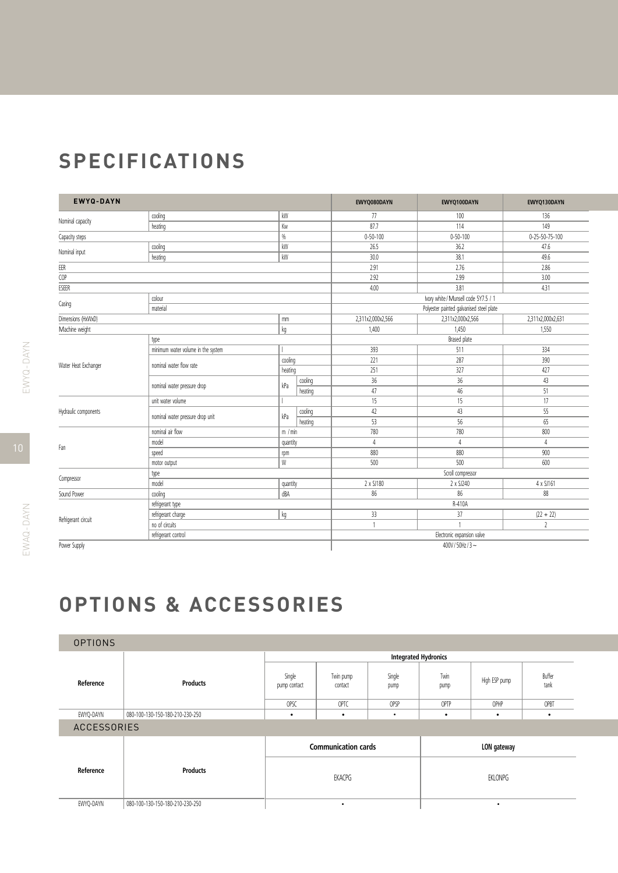## **Specifications**

| <b>EWYQ-DAYN</b>     |                                    |               | EWYQ080DAYN        | EWYQ100DAYN                | EWYQ130DAYN                          |                          |  |  |
|----------------------|------------------------------------|---------------|--------------------|----------------------------|--------------------------------------|--------------------------|--|--|
|                      | cooling                            | kW            |                    | 77                         | 100                                  | 136                      |  |  |
| Nominal capacity     | heating                            | Kw            |                    | 87.7                       | 114                                  | 149                      |  |  |
| Capacity steps       |                                    | $\frac{0}{0}$ |                    | $0 - 50 - 100$             | $0 - 50 - 100$                       | $0 - 25 - 50 - 75 - 100$ |  |  |
|                      | cooling                            | kW            |                    | 26.5                       | 36.2                                 | 47.6                     |  |  |
| Nominal input        | heating                            | kW            |                    | 30.0                       | 38.1                                 | 49.6                     |  |  |
| $\mathsf{EER}$       |                                    |               |                    | 2.91                       | 2.76                                 | 2.86                     |  |  |
| COP                  |                                    |               |                    | 2.92                       | 2.99                                 | 3.00                     |  |  |
| ESEER                |                                    |               |                    | 4.00                       | 3.81                                 | 4.31                     |  |  |
|                      | colour                             |               |                    |                            | Ivory white / Munsell code 5Y7.5 / 1 |                          |  |  |
| Casing               | material                           |               |                    |                            |                                      |                          |  |  |
| Dimensions (HxWxD)   |                                    | mm            |                    | 2,311x2,000x2,566          | 2,311x2,000x2,566                    | 2,311x2,000x2,631        |  |  |
| Machine weight       |                                    | kg            |                    | 1,400                      | 1,450                                | 1,550                    |  |  |
|                      | type                               |               |                    | <b>Brased</b> plate        |                                      |                          |  |  |
|                      | minimum water volume in the system |               |                    | 393                        | 511                                  | 334                      |  |  |
|                      | nominal water flow rate            | cooling       |                    | 221                        | 287                                  | 390                      |  |  |
| Water Heat Exchanger |                                    | heating       |                    | 251                        | 327                                  | 427                      |  |  |
|                      | nominal water pressure drop        |               | cooling            | 36                         | 36                                   | 43                       |  |  |
|                      |                                    | kPa           | heating            | 47                         | 46                                   | 51                       |  |  |
|                      | unit water volume                  |               |                    | 15                         | 15                                   | 17                       |  |  |
| Hydraulic components |                                    |               | cooling            | 42                         | 43                                   | 55                       |  |  |
|                      | nominal water pressure drop unit   | kPa           | heating            | 53                         | 56                                   | 65                       |  |  |
|                      | nominal air flow                   | m / min       |                    | 780                        | 780                                  | 800                      |  |  |
|                      | model                              | quantity      |                    | 4                          | 4                                    | $\overline{4}$           |  |  |
| Fan                  | speed                              | rpm           |                    | 880                        | 880                                  | 900                      |  |  |
|                      | motor output                       | W             |                    | 500                        | 500                                  | 600                      |  |  |
|                      | type                               |               |                    | Scroll compressor          |                                      |                          |  |  |
| Compressor           | model                              | quantity      |                    | 2 x SJ180                  | 2 x SJ240                            | 4 x SJ161                |  |  |
| Sound Power          | cooling                            | dBA           |                    | 86                         | 86                                   | 88                       |  |  |
|                      | refrigerant type                   |               |                    |                            | R-410A                               |                          |  |  |
|                      | refrigerant charge                 | kg            |                    | 33                         | 37                                   | $(22 + 22)$              |  |  |
| Refrigerant circuit  | no of circuits                     |               |                    | 1                          |                                      | $\overline{2}$           |  |  |
|                      | refrigerant control                |               |                    | Electronic expansion valve |                                      |                          |  |  |
| Power Supply         |                                    |               | 400V/50Hz/3 $\sim$ |                            |                                      |                          |  |  |

 $\mathfrak{supp}$ 

**options & accessories**

| <b>OPTIONS</b>     |                                 |                             |                      |                |              |               |                |  |  |
|--------------------|---------------------------------|-----------------------------|----------------------|----------------|--------------|---------------|----------------|--|--|
|                    |                                 | <b>Integrated Hydronics</b> |                      |                |              |               |                |  |  |
| Reference          | <b>Products</b>                 | Single<br>pump contact      | Twin pump<br>contact | Single<br>pump | Twin<br>pump | High ESP pump | Buffer<br>tank |  |  |
|                    |                                 | OPSC                        | OPTC                 | OPSP           | OPTP         | OPHP          | OPBT           |  |  |
| EWYQ-DAYN          | 080-100-130-150-180-210-230-250 | $\bullet$                   | $\bullet$            | $\bullet$      | $\bullet$    | $\bullet$     | ٠              |  |  |
| <b>ACCESSORIES</b> |                                 |                             |                      |                |              |               |                |  |  |
|                    |                                 | <b>Communication cards</b>  |                      |                | LON gateway  |               |                |  |  |
| Reference          | <b>Products</b>                 | EKACPG                      |                      |                |              | EKLONPG       |                |  |  |
| EWYQ-DAYN          | 080-100-130-150-180-210-230-250 | $\bullet$                   |                      |                |              | ٠             |                |  |  |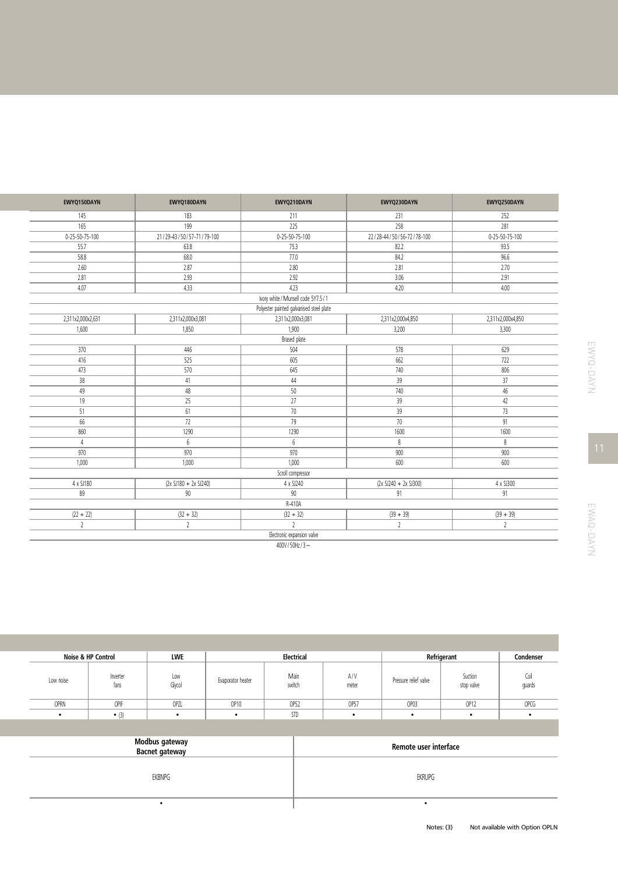| EWYQ150DAYN              | EWYQ180DAYN                | EWYQ210DAYN                              | EWYQ230DAYN              | EWYQ250DAYN              |  |  |  |  |
|--------------------------|----------------------------|------------------------------------------|--------------------------|--------------------------|--|--|--|--|
| 145                      | 183                        | 211                                      | 231                      | 252                      |  |  |  |  |
| 165                      | 199                        | 225                                      | 258                      | 281                      |  |  |  |  |
| $0 - 25 - 50 - 75 - 100$ | 21/29-43/50/57-71/79-100   | 0-25-50-75-100                           | 22/28-44/50/56-72/78-100 | $0 - 25 - 50 - 75 - 100$ |  |  |  |  |
| 55.7                     | 63.8                       | 75.3                                     | 82.2                     | 93.5                     |  |  |  |  |
| 58.8                     | 68.0                       | 77.0                                     | 84.2                     | 96.6                     |  |  |  |  |
| 2.60                     | 2.87                       | 2.80                                     | 2.81                     | 2.70                     |  |  |  |  |
| 2.81                     | 2.93                       | 2.92                                     | 3.06                     | 2.91                     |  |  |  |  |
| 4.07                     | 4.33                       | 4.23                                     | 4.20                     | 4.00                     |  |  |  |  |
|                          |                            | Ivory white / Munsell code 5Y7.5 / 1     |                          |                          |  |  |  |  |
|                          |                            | Polyester painted galvanised steel plate |                          |                          |  |  |  |  |
| 2,311x2,000x2,631        | 2,311x2,000x3,081          | 2,311x2,000x3,081                        | 2,311x2,000x4,850        | 2,311x2,000x4,850        |  |  |  |  |
| 1,600                    | 1,850                      | 1,900                                    | 3,200                    | 3,300                    |  |  |  |  |
|                          |                            | Brased plate                             |                          |                          |  |  |  |  |
| 370                      | 446                        | 504                                      | 578                      | 629                      |  |  |  |  |
| 416                      | 525                        | 605                                      | 662                      | 722                      |  |  |  |  |
| 473                      | 570                        | 645                                      | 740                      | 806                      |  |  |  |  |
| 38                       | 41                         | 44                                       | 39                       | 37                       |  |  |  |  |
| 49                       | 48                         | 50                                       | 740                      | 46                       |  |  |  |  |
| 19                       | 25                         | 27                                       | 39                       | 42                       |  |  |  |  |
| 51                       | 61                         | 70                                       | 39                       | 73                       |  |  |  |  |
| 66                       | 72                         | 79                                       | $70$                     | 91                       |  |  |  |  |
| 860                      | 1290                       | 1290                                     | 1600                     | 1600                     |  |  |  |  |
| 4                        | 6                          | 6                                        | $\,8\,$                  | 8                        |  |  |  |  |
| 970                      | 970                        | 970                                      | 900                      | 900                      |  |  |  |  |
| 1,000                    | 1,000                      | 1,000                                    | 600                      | 600                      |  |  |  |  |
|                          |                            | Scroll compressor                        |                          |                          |  |  |  |  |
| 4 x SJ180                | $(2x 5J180 + 2x 5J240)$    | 4 x SJ240                                | $(2x SJ240 + 2x SJ300)$  | 4 x SJ300                |  |  |  |  |
| 89                       | 90                         | 90                                       | 91                       | 91                       |  |  |  |  |
|                          |                            | R-410A                                   |                          |                          |  |  |  |  |
| $(22 + 22)$              | $(32 + 32)$                | $(32 + 32)$                              | $(39 + 39)$              | $(39 + 39)$              |  |  |  |  |
| $\overline{2}$           | $\overline{2}$             | $\overline{\phantom{a}}$                 | $\mathfrak{c}$           | $\overline{2}$           |  |  |  |  |
|                          | Electronic expansion valve |                                          |                          |                          |  |  |  |  |

400V/50Hz/3~

|           | Noise & HP Control | <b>LWE</b>    | Electrical<br>Refrigerant |                |              |                       |                       | Condenser      |
|-----------|--------------------|---------------|---------------------------|----------------|--------------|-----------------------|-----------------------|----------------|
| Low noise | Inverter<br>tans   | Low<br>Glycol | Evaporator heater         | Main<br>switch | A/V<br>meter | Pressure relief valve | Suction<br>stop valve | Coil<br>quards |
| OPRN      | OPIF               | OPZL          | OP10                      | OP52           | OP57         | OP03                  | OP12                  | <b>OPCG</b>    |
| $\bullet$ | $\bullet$ (3)      | $\bullet$     |                           | <b>STD</b>     | ٠            | $\bullet$             |                       |                |

| Modbus gateway<br>Bacnet gateway | Remote user interface |
|----------------------------------|-----------------------|
| <b>EKBNPG</b>                    | EKRUPG                |
|                                  |                       |